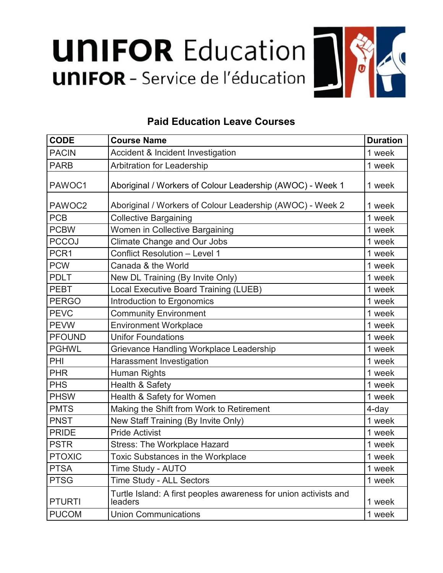## **UNIFOR Education UNIFOR** - Service de l'éducation



## **Paid Education Leave Courses**

| <b>CODE</b>   | <b>Course Name</b>                                                          | <b>Duration</b> |
|---------------|-----------------------------------------------------------------------------|-----------------|
| <b>PACIN</b>  | Accident & Incident Investigation                                           | 1 week          |
| <b>PARB</b>   | Arbitration for Leadership                                                  | 1 week          |
| PAWOC1        | Aboriginal / Workers of Colour Leadership (AWOC) - Week 1                   | 1 week          |
| PAWOC2        | Aboriginal / Workers of Colour Leadership (AWOC) - Week 2                   | 1 week          |
| <b>PCB</b>    | <b>Collective Bargaining</b>                                                | 1 week          |
| <b>PCBW</b>   | Women in Collective Bargaining                                              | 1 week          |
| <b>PCCOJ</b>  | <b>Climate Change and Our Jobs</b>                                          | 1 week          |
| PCR1          | Conflict Resolution - Level 1                                               | 1 week          |
| <b>PCW</b>    | Canada & the World                                                          | 1 week          |
| <b>PDLT</b>   | New DL Training (By Invite Only)                                            | 1 week          |
| <b>PEBT</b>   | Local Executive Board Training (LUEB)                                       | 1 week          |
| <b>PERGO</b>  | Introduction to Ergonomics                                                  | 1 week          |
| <b>PEVC</b>   | <b>Community Environment</b>                                                | 1 week          |
| <b>PEVW</b>   | <b>Environment Workplace</b>                                                | 1 week          |
| <b>PFOUND</b> | <b>Unifor Foundations</b>                                                   | 1 week          |
| <b>PGHWL</b>  | Grievance Handling Workplace Leadership                                     | 1 week          |
| PHI           | Harassment Investigation                                                    | 1 week          |
| <b>PHR</b>    | Human Rights                                                                | 1 week          |
| <b>PHS</b>    | Health & Safety                                                             | 1 week          |
| <b>PHSW</b>   | Health & Safety for Women                                                   | 1 week          |
| <b>PMTS</b>   | Making the Shift from Work to Retirement                                    | 4-day           |
| <b>PNST</b>   | New Staff Training (By Invite Only)                                         | 1 week          |
| <b>PRIDE</b>  | <b>Pride Activist</b>                                                       | 1 week          |
| <b>PSTR</b>   | <b>Stress: The Workplace Hazard</b>                                         | 1 week          |
| <b>PTOXIC</b> | <b>Toxic Substances in the Workplace</b>                                    | 1 week          |
| <b>PTSA</b>   | Time Study - AUTO                                                           | 1 week          |
| <b>PTSG</b>   | <b>Time Study - ALL Sectors</b>                                             | 1 week          |
| <b>PTURTI</b> | Turtle Island: A first peoples awareness for union activists and<br>leaders | 1 week          |
| <b>PUCOM</b>  | <b>Union Communications</b>                                                 | 1 week          |